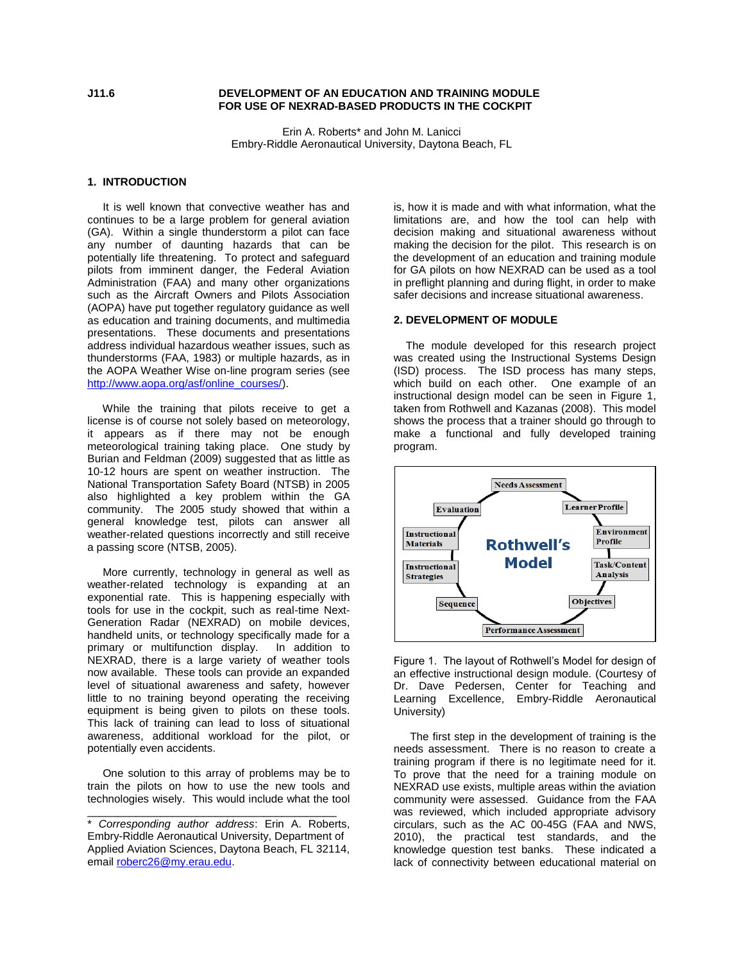### **J11.6 DEVELOPMENT OF AN EDUCATION AND TRAINING MODULE FOR USE OF NEXRAD-BASED PRODUCTS IN THE COCKPIT**

Erin A. Roberts\* and John M. Lanicci Embry-Riddle Aeronautical University, Daytona Beach, FL

## **1. INTRODUCTION**

 It is well known that convective weather has and continues to be a large problem for general aviation (GA). Within a single thunderstorm a pilot can face any number of daunting hazards that can be potentially life threatening. To protect and safeguard pilots from imminent danger, the Federal Aviation Administration (FAA) and many other organizations such as the Aircraft Owners and Pilots Association (AOPA) have put together regulatory guidance as well as education and training documents, and multimedia presentations. These documents and presentations address individual hazardous weather issues, such as thunderstorms (FAA, 1983) or multiple hazards, as in the AOPA Weather Wise on-line program series (see [http://www.aopa.org/asf/online\\_courses/\)](http://www.aopa.org/asf/online_courses/).

 While the training that pilots receive to get a license is of course not solely based on meteorology, it appears as if there may not be enough meteorological training taking place. One study by Burian and Feldman (2009) suggested that as little as 10-12 hours are spent on weather instruction. The National Transportation Safety Board (NTSB) in 2005 also highlighted a key problem within the GA community. The 2005 study showed that within a general knowledge test, pilots can answer all weather-related questions incorrectly and still receive a passing score (NTSB, 2005).

 More currently, technology in general as well as weather-related technology is expanding at an exponential rate. This is happening especially with tools for use in the cockpit, such as real-time Next-Generation Radar (NEXRAD) on mobile devices, handheld units, or technology specifically made for a primary or multifunction display. In addition to NEXRAD, there is a large variety of weather tools now available. These tools can provide an expanded level of situational awareness and safety, however little to no training beyond operating the receiving equipment is being given to pilots on these tools. This lack of training can lead to loss of situational awareness, additional workload for the pilot, or potentially even accidents.

 One solution to this array of problems may be to train the pilots on how to use the new tools and technologies wisely. This would include what the tool

\_\_\_\_\_\_\_\_\_\_\_\_\_\_\_\_\_\_\_\_\_\_\_\_\_\_\_\_\_\_\_\_\_\_\_\_\_\_\_\_\_

is, how it is made and with what information, what the limitations are, and how the tool can help with decision making and situational awareness without making the decision for the pilot. This research is on the development of an education and training module for GA pilots on how NEXRAD can be used as a tool in preflight planning and during flight, in order to make safer decisions and increase situational awareness.

## **2. DEVELOPMENT OF MODULE**

 The module developed for this research project was created using the Instructional Systems Design (ISD) process. The ISD process has many steps, which build on each other. One example of an instructional design model can be seen in Figure 1, taken from Rothwell and Kazanas (2008). This model shows the process that a trainer should go through to make a functional and fully developed training program.



Figure 1. The layout of Rothwell"s Model for design of an effective instructional design module. (Courtesy of Dr. Dave Pedersen, Center for Teaching and Learning Excellence, Embry-Riddle Aeronautical University)

The first step in the development of training is the needs assessment. There is no reason to create a training program if there is no legitimate need for it. To prove that the need for a training module on NEXRAD use exists, multiple areas within the aviation community were assessed. Guidance from the FAA was reviewed, which included appropriate advisory circulars, such as the AC 00-45G (FAA and NWS, 2010), the practical test standards, and the knowledge question test banks. These indicated a lack of connectivity between educational material on

<sup>\*</sup> *Corresponding author address*: Erin A. Roberts, Embry-Riddle Aeronautical University, Department of Applied Aviation Sciences, Daytona Beach, FL 32114, email [roberc26@my.erau.edu.](mailto:roberc26@my.erau.edu)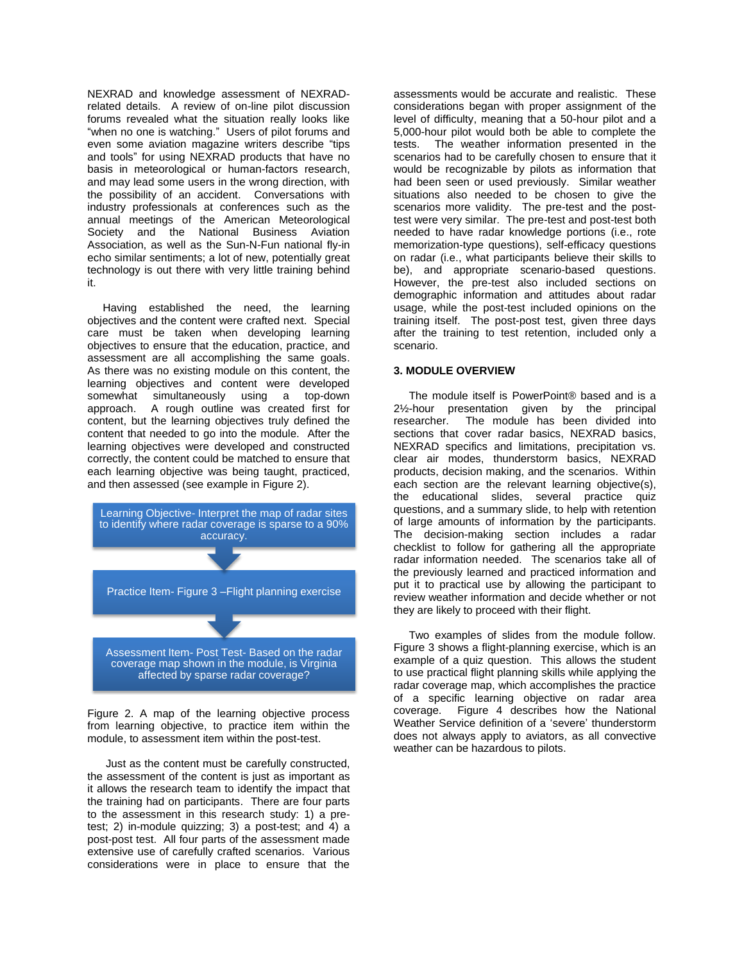NEXRAD and knowledge assessment of NEXRADrelated details. A review of on-line pilot discussion forums revealed what the situation really looks like "when no one is watching." Users of pilot forums and even some aviation magazine writers describe "tips and tools" for using NEXRAD products that have no basis in meteorological or human-factors research, and may lead some users in the wrong direction, with the possibility of an accident. Conversations with industry professionals at conferences such as the annual meetings of the American Meteorological Society and the National Business Aviation Association, as well as the Sun-N-Fun national fly-in echo similar sentiments; a lot of new, potentially great technology is out there with very little training behind it.

 Having established the need, the learning objectives and the content were crafted next. Special care must be taken when developing learning objectives to ensure that the education, practice, and assessment are all accomplishing the same goals. As there was no existing module on this content, the learning objectives and content were developed somewhat simultaneously using a top-down approach. A rough outline was created first for content, but the learning objectives truly defined the content that needed to go into the module. After the learning objectives were developed and constructed correctly, the content could be matched to ensure that each learning objective was being taught, practiced, and then assessed (see example in Figure 2).



Figure 2. A map of the learning objective process from learning objective, to practice item within the module, to assessment item within the post-test.

 Just as the content must be carefully constructed, the assessment of the content is just as important as it allows the research team to identify the impact that the training had on participants. There are four parts to the assessment in this research study: 1) a pretest; 2) in-module quizzing; 3) a post-test; and 4) a post-post test. All four parts of the assessment made extensive use of carefully crafted scenarios. Various considerations were in place to ensure that the

assessments would be accurate and realistic. These considerations began with proper assignment of the level of difficulty, meaning that a 50-hour pilot and a 5,000-hour pilot would both be able to complete the tests. The weather information presented in the scenarios had to be carefully chosen to ensure that it would be recognizable by pilots as information that had been seen or used previously. Similar weather situations also needed to be chosen to give the scenarios more validity. The pre-test and the posttest were very similar. The pre-test and post-test both needed to have radar knowledge portions (i.e., rote memorization-type questions), self-efficacy questions on radar (i.e., what participants believe their skills to be), and appropriate scenario-based questions. However, the pre-test also included sections on demographic information and attitudes about radar usage, while the post-test included opinions on the training itself. The post-post test, given three days after the training to test retention, included only a scenario.

# **3. MODULE OVERVIEW**

 The module itself is PowerPoint® based and is a 2½-hour presentation given by the principal researcher. The module has been divided into sections that cover radar basics, NEXRAD basics, NEXRAD specifics and limitations, precipitation vs. clear air modes, thunderstorm basics, NEXRAD products, decision making, and the scenarios. Within each section are the relevant learning objective(s), the educational slides, several practice quiz questions, and a summary slide, to help with retention of large amounts of information by the participants. The decision-making section includes a radar checklist to follow for gathering all the appropriate radar information needed. The scenarios take all of the previously learned and practiced information and put it to practical use by allowing the participant to review weather information and decide whether or not they are likely to proceed with their flight.

 Two examples of slides from the module follow. Figure 3 shows a flight-planning exercise, which is an example of a quiz question. This allows the student to use practical flight planning skills while applying the radar coverage map, which accomplishes the practice of a specific learning objective on radar area coverage. Figure 4 describes how the National Weather Service definition of a 'severe' thunderstorm does not always apply to aviators, as all convective weather can be hazardous to pilots.